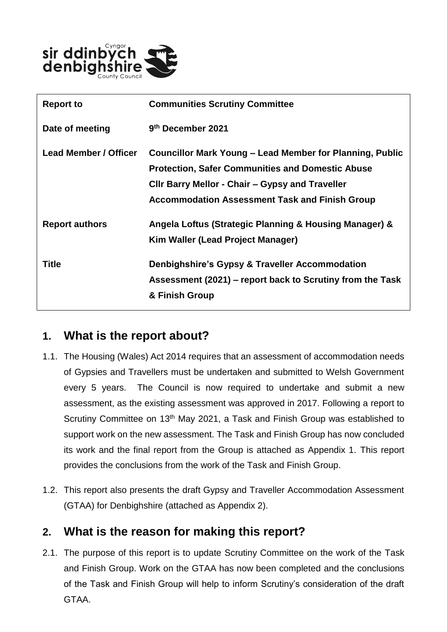

| <b>Report to</b>      | <b>Communities Scrutiny Committee</b>                                                                                                                                                                                                  |
|-----------------------|----------------------------------------------------------------------------------------------------------------------------------------------------------------------------------------------------------------------------------------|
| Date of meeting       | 9th December 2021                                                                                                                                                                                                                      |
| Lead Member / Officer | <b>Councillor Mark Young - Lead Member for Planning, Public</b><br><b>Protection, Safer Communities and Domestic Abuse</b><br>CIIr Barry Mellor - Chair – Gypsy and Traveller<br><b>Accommodation Assessment Task and Finish Group</b> |
| <b>Report authors</b> | Angela Loftus (Strategic Planning & Housing Manager) &<br>Kim Waller (Lead Project Manager)                                                                                                                                            |
| <b>Title</b>          | <b>Denbighshire's Gypsy &amp; Traveller Accommodation</b><br>Assessment (2021) – report back to Scrutiny from the Task<br>& Finish Group                                                                                               |

#### **1. What is the report about?**

- 1.1. The Housing (Wales) Act 2014 requires that an assessment of accommodation needs of Gypsies and Travellers must be undertaken and submitted to Welsh Government every 5 years. The Council is now required to undertake and submit a new assessment, as the existing assessment was approved in 2017. Following a report to Scrutiny Committee on 13<sup>th</sup> May 2021, a Task and Finish Group was established to support work on the new assessment. The Task and Finish Group has now concluded its work and the final report from the Group is attached as Appendix 1. This report provides the conclusions from the work of the Task and Finish Group.
- 1.2. This report also presents the draft Gypsy and Traveller Accommodation Assessment (GTAA) for Denbighshire (attached as Appendix 2).

#### **2. What is the reason for making this report?**

2.1. The purpose of this report is to update Scrutiny Committee on the work of the Task and Finish Group. Work on the GTAA has now been completed and the conclusions of the Task and Finish Group will help to inform Scrutiny's consideration of the draft GTAA.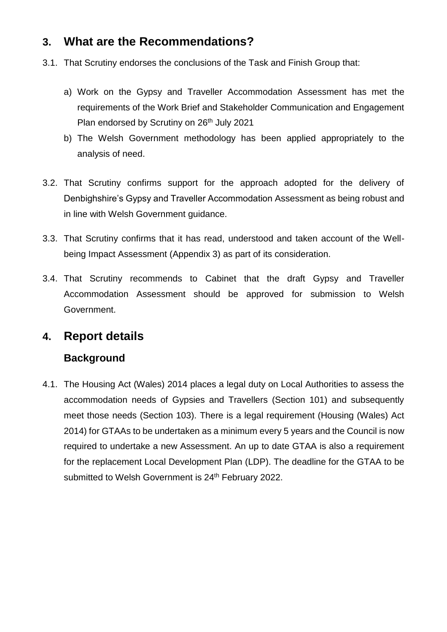## **3. What are the Recommendations?**

- 3.1. That Scrutiny endorses the conclusions of the Task and Finish Group that:
	- a) Work on the Gypsy and Traveller Accommodation Assessment has met the requirements of the Work Brief and Stakeholder Communication and Engagement Plan endorsed by Scrutiny on 26<sup>th</sup> July 2021
	- b) The Welsh Government methodology has been applied appropriately to the analysis of need.
- 3.2. That Scrutiny confirms support for the approach adopted for the delivery of Denbighshire's Gypsy and Traveller Accommodation Assessment as being robust and in line with Welsh Government guidance.
- 3.3. That Scrutiny confirms that it has read, understood and taken account of the Wellbeing Impact Assessment (Appendix 3) as part of its consideration.
- 3.4. That Scrutiny recommends to Cabinet that the draft Gypsy and Traveller Accommodation Assessment should be approved for submission to Welsh Government.

#### **4. Report details**

#### **Background**

4.1. The Housing Act (Wales) 2014 places a legal duty on Local Authorities to assess the accommodation needs of Gypsies and Travellers (Section 101) and subsequently meet those needs (Section 103). There is a legal requirement (Housing (Wales) Act 2014) for GTAAs to be undertaken as a minimum every 5 years and the Council is now required to undertake a new Assessment. An up to date GTAA is also a requirement for the replacement Local Development Plan (LDP). The deadline for the GTAA to be submitted to Welsh Government is 24<sup>th</sup> February 2022.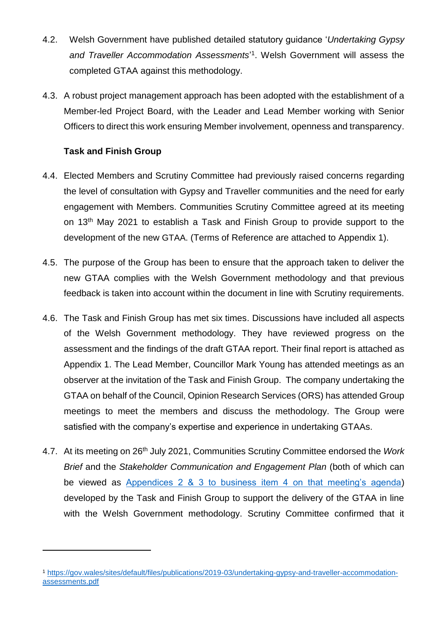- 4.2. Welsh Government have published detailed statutory guidance '*Undertaking Gypsy*  and Traveller Accommodation Assessments<sup>'1</sup>. Welsh Government will assess the completed GTAA against this methodology.
- 4.3. A robust project management approach has been adopted with the establishment of a Member-led Project Board, with the Leader and Lead Member working with Senior Officers to direct this work ensuring Member involvement, openness and transparency.

#### **Task and Finish Group**

 $\overline{a}$ 

- 4.4. Elected Members and Scrutiny Committee had previously raised concerns regarding the level of consultation with Gypsy and Traveller communities and the need for early engagement with Members. Communities Scrutiny Committee agreed at its meeting on 13<sup>th</sup> May 2021 to establish a Task and Finish Group to provide support to the development of the new GTAA. (Terms of Reference are attached to Appendix 1).
- 4.5. The purpose of the Group has been to ensure that the approach taken to deliver the new GTAA complies with the Welsh Government methodology and that previous feedback is taken into account within the document in line with Scrutiny requirements.
- 4.6. The Task and Finish Group has met six times. Discussions have included all aspects of the Welsh Government methodology. They have reviewed progress on the assessment and the findings of the draft GTAA report. Their final report is attached as Appendix 1. The Lead Member, Councillor Mark Young has attended meetings as an observer at the invitation of the Task and Finish Group. The company undertaking the GTAA on behalf of the Council, Opinion Research Services (ORS) has attended Group meetings to meet the members and discuss the methodology. The Group were satisfied with the company's expertise and experience in undertaking GTAAs.
- 4.7. At its meeting on 26th July 2021, Communities Scrutiny Committee endorsed the *Work Brief* and the *Stakeholder Communication and Engagement Plan* (both of which can be viewed as [Appendices 2 & 3 to business item 4 on that meeting's agenda\)](https://moderngov.denbighshire.gov.uk/ieListDocuments.aspx?CId=271&MId=6424&LLL=0) developed by the Task and Finish Group to support the delivery of the GTAA in line with the Welsh Government methodology. Scrutiny Committee confirmed that it

<sup>1</sup> [https://gov.wales/sites/default/files/publications/2019-03/undertaking-gypsy-and-traveller-accommodation](https://gov.wales/sites/default/files/publications/2019-03/undertaking-gypsy-and-traveller-accommodation-assessments.pdf)[assessments.pdf](https://gov.wales/sites/default/files/publications/2019-03/undertaking-gypsy-and-traveller-accommodation-assessments.pdf)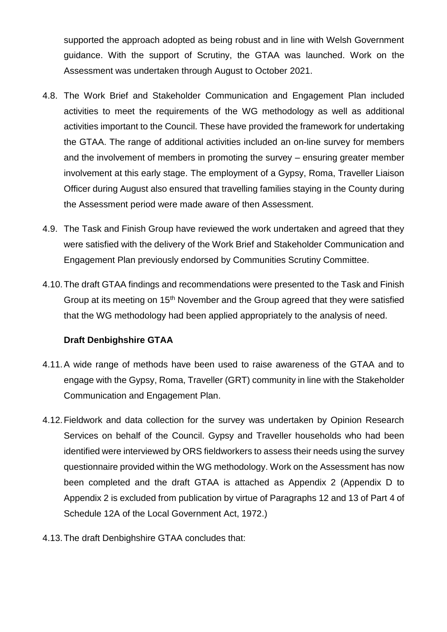supported the approach adopted as being robust and in line with Welsh Government guidance. With the support of Scrutiny, the GTAA was launched. Work on the Assessment was undertaken through August to October 2021.

- 4.8. The Work Brief and Stakeholder Communication and Engagement Plan included activities to meet the requirements of the WG methodology as well as additional activities important to the Council. These have provided the framework for undertaking the GTAA. The range of additional activities included an on-line survey for members and the involvement of members in promoting the survey – ensuring greater member involvement at this early stage. The employment of a Gypsy, Roma, Traveller Liaison Officer during August also ensured that travelling families staying in the County during the Assessment period were made aware of then Assessment.
- 4.9. The Task and Finish Group have reviewed the work undertaken and agreed that they were satisfied with the delivery of the Work Brief and Stakeholder Communication and Engagement Plan previously endorsed by Communities Scrutiny Committee.
- 4.10.The draft GTAA findings and recommendations were presented to the Task and Finish Group at its meeting on 15<sup>th</sup> November and the Group agreed that they were satisfied that the WG methodology had been applied appropriately to the analysis of need.

#### **Draft Denbighshire GTAA**

- 4.11.A wide range of methods have been used to raise awareness of the GTAA and to engage with the Gypsy, Roma, Traveller (GRT) community in line with the Stakeholder Communication and Engagement Plan.
- 4.12.Fieldwork and data collection for the survey was undertaken by Opinion Research Services on behalf of the Council. Gypsy and Traveller households who had been identified were interviewed by ORS fieldworkers to assess their needs using the survey questionnaire provided within the WG methodology. Work on the Assessment has now been completed and the draft GTAA is attached as Appendix 2 (Appendix D to Appendix 2 is excluded from publication by virtue of Paragraphs 12 and 13 of Part 4 of Schedule 12A of the Local Government Act, 1972.)
- 4.13.The draft Denbighshire GTAA concludes that: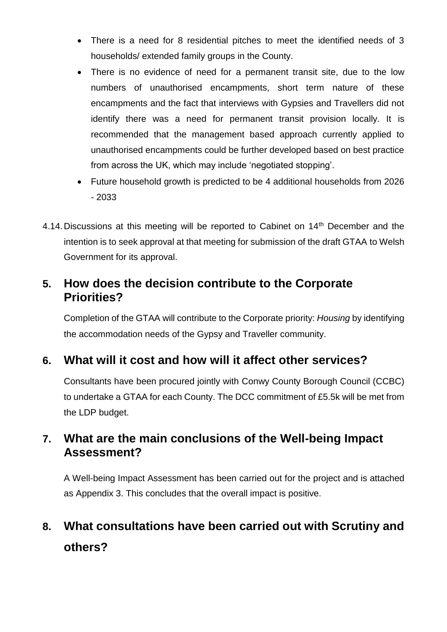- There is a need for 8 residential pitches to meet the identified needs of 3 households/ extended family groups in the County.
- There is no evidence of need for a permanent transit site, due to the low numbers of unauthorised encampments, short term nature of these encampments and the fact that interviews with Gypsies and Travellers did not identify there was a need for permanent transit provision locally. It is recommended that the management based approach currently applied to unauthorised encampments could be further developed based on best practice from across the UK, which may include 'negotiated stopping'.
- Future household growth is predicted to be 4 additional households from 2026 - 2033
- 4.14. Discussions at this meeting will be reported to Cabinet on 14<sup>th</sup> December and the intention is to seek approval at that meeting for submission of the draft GTAA to Welsh Government for its approval.

#### **5. How does the decision contribute to the Corporate Priorities?**

Completion of the GTAA will contribute to the Corporate priority: *Housing* by identifying the accommodation needs of the Gypsy and Traveller community.

# **6. What will it cost and how will it affect other services?**

Consultants have been procured jointly with Conwy County Borough Council (CCBC) to undertake a GTAA for each County. The DCC commitment of £5.5k will be met from the LDP budget.

## **7. What are the main conclusions of the Well-being Impact Assessment?**

A Well-being Impact Assessment has been carried out for the project and is attached as Appendix 3. This concludes that the overall impact is positive.

# **8. What consultations have been carried out with Scrutiny and others?**